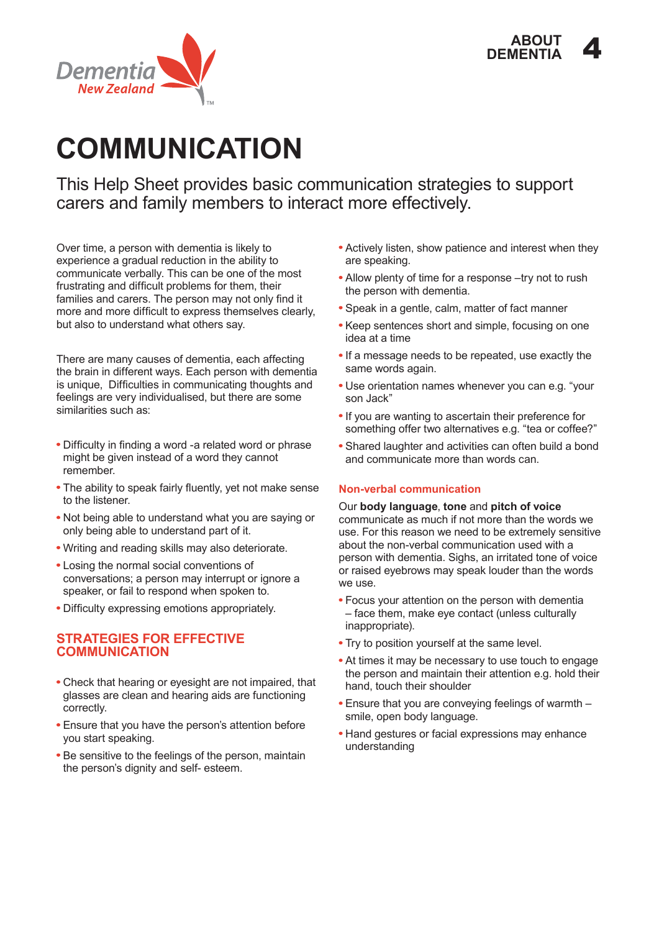



# **COMMUNICATION**

This Help Sheet provides basic communication strategies to support carers and family members to interact more effectively.

Over time, a person with dementia is likely to experience a gradual reduction in the ability to communicate verbally. This can be one of the most frustrating and difficult problems for them, their families and carers. The person may not only find it more and more difficult to express themselves clearly, but also to understand what others say.

There are many causes of dementia, each affecting the brain in different ways. Each person with dementia is unique, Difficulties in communicating thoughts and feelings are very individualised, but there are some similarities such as:

- Difficulty in finding a word -a related word or phrase might be given instead of a word they cannot remember.
- The ability to speak fairly fluently, yet not make sense to the listener.
- Not being able to understand what you are saying or only being able to understand part of it.
- Writing and reading skills may also deteriorate.
- Losing the normal social conventions of conversations; a person may interrupt or ignore a speaker, or fail to respond when spoken to.
- Difficulty expressing emotions appropriately.

# **STRATEGIES FOR EFFECTIVE COMMUNICATION**

- Check that hearing or eyesight are not impaired, that glasses are clean and hearing aids are functioning correctly.
- Ensure that you have the person's attention before you start speaking.
- Be sensitive to the feelings of the person, maintain the person's dignity and self- esteem.
- Actively listen, show patience and interest when they are speaking.
- Allow plenty of time for a response –try not to rush the person with dementia.
- Speak in a gentle, calm, matter of fact manner
- Keep sentences short and simple, focusing on one idea at a time
- If a message needs to be repeated, use exactly the same words again.
- Use orientation names whenever you can e.g. "your son Jack"
- If you are wanting to ascertain their preference for something offer two alternatives e.g. "tea or coffee?"
- Shared laughter and activities can often build a bond and communicate more than words can.

# **Non-verbal communication**

Our **body language**, **tone** and **pitch of voice** communicate as much if not more than the words we use. For this reason we need to be extremely sensitive about the non-verbal communication used with a person with dementia. Sighs, an irritated tone of voice or raised eyebrows may speak louder than the words we use.

- Focus your attention on the person with dementia – face them, make eye contact (unless culturally inappropriate).
- Try to position yourself at the same level.
- At times it may be necessary to use touch to engage the person and maintain their attention e.g. hold their hand, touch their shoulder
- Ensure that you are conveying feelings of warmth smile, open body language.
- Hand gestures or facial expressions may enhance understanding